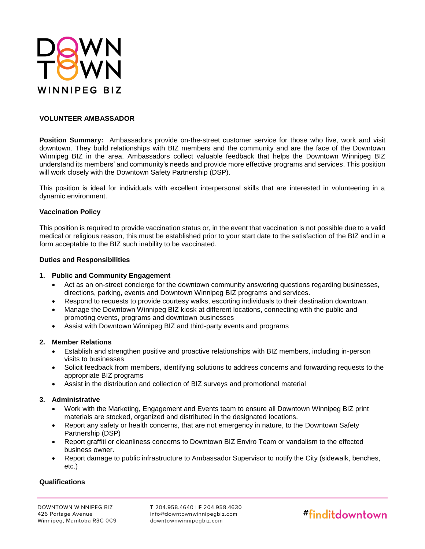

# **VOLUNTEER AMBASSADOR**

**Position Summary:** Ambassadors provide on-the-street customer service for those who live, work and visit downtown. They build relationships with BIZ members and the community and are the face of the Downtown Winnipeg BIZ in the area. Ambassadors collect valuable feedback that helps the Downtown Winnipeg BIZ understand its members' and community's needs and provide more effective programs and services. This position will work closely with the Downtown Safety Partnership (DSP).

This position is ideal for individuals with excellent interpersonal skills that are interested in volunteering in a dynamic environment.

## **Vaccination Policy**

This position is required to provide vaccination status or, in the event that vaccination is not possible due to a valid medical or religious reason, this must be established prior to your start date to the satisfaction of the BIZ and in a form acceptable to the BIZ such inability to be vaccinated.

#### **Duties and Responsibilities**

### **1. Public and Community Engagement**

- Act as an on-street concierge for the downtown community answering questions regarding businesses, directions, parking, events and Downtown Winnipeg BIZ programs and services.
- Respond to requests to provide courtesy walks, escorting individuals to their destination downtown.
- Manage the Downtown Winnipeg BIZ kiosk at different locations, connecting with the public and promoting events, programs and downtown businesses
- Assist with Downtown Winnipeg BIZ and third-party events and programs

## **2. Member Relations**

- Establish and strengthen positive and proactive relationships with BIZ members, including in-person visits to businesses
- Solicit feedback from members, identifying solutions to address concerns and forwarding requests to the appropriate BIZ programs
- Assist in the distribution and collection of BIZ surveys and promotional material

## **3. Administrative**

- Work with the Marketing, Engagement and Events team to ensure all Downtown Winnipeg BIZ print materials are stocked, organized and distributed in the designated locations.
- Report any safety or health concerns, that are not emergency in nature, to the Downtown Safety Partnership (DSP)
- Report graffiti or cleanliness concerns to Downtown BIZ Enviro Team or vandalism to the effected business owner.
- Report damage to public infrastructure to Ambassador Supervisor to notify the City (sidewalk, benches, etc.)

## **Qualifications**